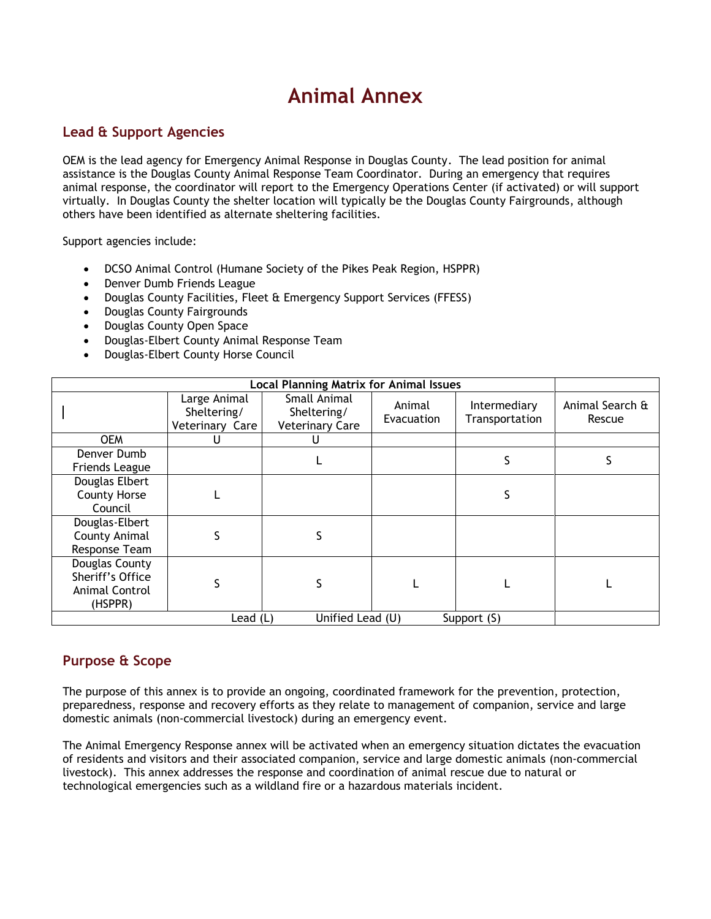# **Animal Annex**

### **Lead & Support Agencies**

OEM is the lead agency for Emergency Animal Response in Douglas County. The lead position for animal assistance is the Douglas County Animal Response Team Coordinator. During an emergency that requires animal response, the coordinator will report to the Emergency Operations Center (if activated) or will support virtually. In Douglas County the shelter location will typically be the Douglas County Fairgrounds, although others have been identified as alternate sheltering facilities.

Support agencies include:

- DCSO Animal Control (Humane Society of the Pikes Peak Region, HSPPR)
- Denver Dumb Friends League
- Douglas County Facilities, Fleet & Emergency Support Services (FFESS)
- Douglas County Fairgrounds
- Douglas County Open Space
- Douglas-Elbert County Animal Response Team
- Douglas-Elbert County Horse Council

| <b>Local Planning Matrix for Animal Issues</b>                  |                                                |                                                       |                      |                                |                           |
|-----------------------------------------------------------------|------------------------------------------------|-------------------------------------------------------|----------------------|--------------------------------|---------------------------|
|                                                                 | Large Animal<br>Sheltering/<br>Veterinary Care | Small Animal<br>Sheltering/<br><b>Veterinary Care</b> | Animal<br>Evacuation | Intermediary<br>Transportation | Animal Search &<br>Rescue |
| <b>OEM</b>                                                      | U                                              | U                                                     |                      |                                |                           |
| Denver Dumb<br>Friends League                                   |                                                |                                                       |                      |                                |                           |
| Douglas Elbert<br><b>County Horse</b><br>Council                |                                                |                                                       |                      | S                              |                           |
| Douglas-Elbert<br>County Animal<br>Response Team                | S                                              |                                                       |                      |                                |                           |
| Douglas County<br>Sheriff's Office<br>Animal Control<br>(HSPPR) | S                                              |                                                       |                      |                                |                           |
| Unified Lead (U)<br>Support (S)<br>Lead (L)                     |                                                |                                                       |                      |                                |                           |

### **Purpose & Scope**

The purpose of this annex is to provide an ongoing, coordinated framework for the prevention, protection, preparedness, response and recovery efforts as they relate to management of companion, service and large domestic animals (non-commercial livestock) during an emergency event.

The Animal Emergency Response annex will be activated when an emergency situation dictates the evacuation of residents and visitors and their associated companion, service and large domestic animals (non-commercial livestock). This annex addresses the response and coordination of animal rescue due to natural or technological emergencies such as a wildland fire or a hazardous materials incident.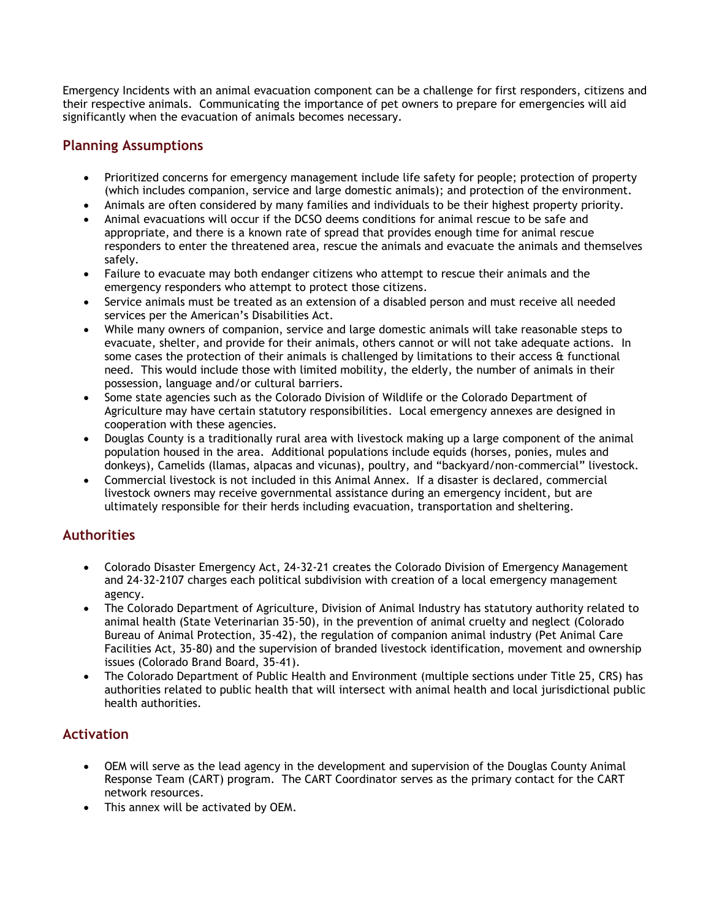Emergency Incidents with an animal evacuation component can be a challenge for first responders, citizens and their respective animals. Communicating the importance of pet owners to prepare for emergencies will aid significantly when the evacuation of animals becomes necessary.

## **Planning Assumptions**

- Prioritized concerns for emergency management include life safety for people; protection of property (which includes companion, service and large domestic animals); and protection of the environment.
- Animals are often considered by many families and individuals to be their highest property priority.
- Animal evacuations will occur if the DCSO deems conditions for animal rescue to be safe and appropriate, and there is a known rate of spread that provides enough time for animal rescue responders to enter the threatened area, rescue the animals and evacuate the animals and themselves safely.
- Failure to evacuate may both endanger citizens who attempt to rescue their animals and the emergency responders who attempt to protect those citizens.
- Service animals must be treated as an extension of a disabled person and must receive all needed services per the American's Disabilities Act.
- While many owners of companion, service and large domestic animals will take reasonable steps to evacuate, shelter, and provide for their animals, others cannot or will not take adequate actions. In some cases the protection of their animals is challenged by limitations to their access & functional need. This would include those with limited mobility, the elderly, the number of animals in their possession, language and/or cultural barriers.
- Some state agencies such as the Colorado Division of Wildlife or the Colorado Department of Agriculture may have certain statutory responsibilities. Local emergency annexes are designed in cooperation with these agencies.
- Douglas County is a traditionally rural area with livestock making up a large component of the animal population housed in the area. Additional populations include equids (horses, ponies, mules and donkeys), Camelids (llamas, alpacas and vicunas), poultry, and "backyard/non-commercial" livestock.
- Commercial livestock is not included in this Animal Annex. If a disaster is declared, commercial livestock owners may receive governmental assistance during an emergency incident, but are ultimately responsible for their herds including evacuation, transportation and sheltering.

### **Authorities**

- Colorado Disaster Emergency Act, 24-32-21 creates the Colorado Division of Emergency Management and 24-32-2107 charges each political subdivision with creation of a local emergency management agency.
- The Colorado Department of Agriculture, Division of Animal Industry has statutory authority related to animal health (State Veterinarian 35-50), in the prevention of animal cruelty and neglect (Colorado Bureau of Animal Protection, 35-42), the regulation of companion animal industry (Pet Animal Care Facilities Act, 35-80) and the supervision of branded livestock identification, movement and ownership issues (Colorado Brand Board, 35-41).
- The Colorado Department of Public Health and Environment (multiple sections under Title 25, CRS) has authorities related to public health that will intersect with animal health and local jurisdictional public health authorities.

### **Activation**

- OEM will serve as the lead agency in the development and supervision of the Douglas County Animal Response Team (CART) program. The CART Coordinator serves as the primary contact for the CART network resources.
- This annex will be activated by OEM.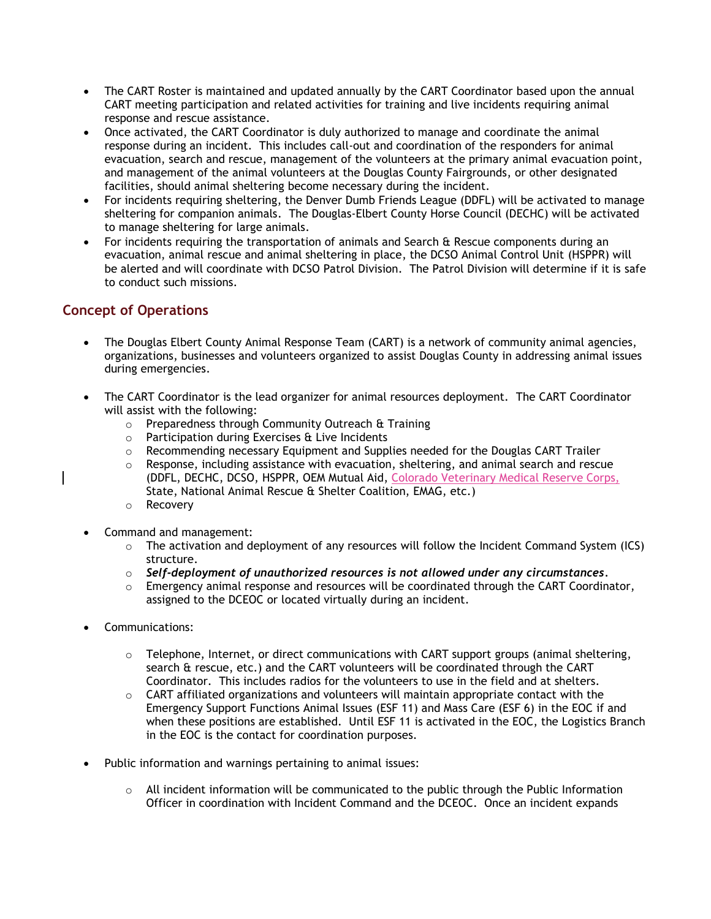- The CART Roster is maintained and updated annually by the CART Coordinator based upon the annual CART meeting participation and related activities for training and live incidents requiring animal response and rescue assistance.
- Once activated, the CART Coordinator is duly authorized to manage and coordinate the animal response during an incident. This includes call-out and coordination of the responders for animal evacuation, search and rescue, management of the volunteers at the primary animal evacuation point, and management of the animal volunteers at the Douglas County Fairgrounds, or other designated facilities, should animal sheltering become necessary during the incident.
- For incidents requiring sheltering, the Denver Dumb Friends League (DDFL) will be activated to manage sheltering for companion animals. The Douglas-Elbert County Horse Council (DECHC) will be activated to manage sheltering for large animals.
- For incidents requiring the transportation of animals and Search & Rescue components during an evacuation, animal rescue and animal sheltering in place, the DCSO Animal Control Unit (HSPPR) will be alerted and will coordinate with DCSO Patrol Division. The Patrol Division will determine if it is safe to conduct such missions.

## **Concept of Operations**

- The Douglas Elbert County Animal Response Team (CART) is a network of community animal agencies, organizations, businesses and volunteers organized to assist Douglas County in addressing animal issues during emergencies.
- The CART Coordinator is the lead organizer for animal resources deployment. The CART Coordinator will assist with the following:
	- o Preparedness through Community Outreach & Training
	- $\circ$  Participation during Exercises  $\alpha$  Live Incidents
	- $\circ$  Recommending necessary Equipment and Supplies needed for the Douglas CART Trailer
	- $\circ$  Response, including assistance with evacuation, sheltering, and animal search and rescue (DDFL, DECHC, DCSO, HSPPR, OEM Mutual Aid, Colorado Veterinary Medical Reserve Corps, State, National Animal Rescue & Shelter Coalition, EMAG, etc.)
	- o Recovery
- Command and management:
	- $\circ$  The activation and deployment of any resources will follow the Incident Command System (ICS) structure.
	- o *Self-deployment of unauthorized resources is not allowed under any circumstances.*
	- $\circ$  Emergency animal response and resources will be coordinated through the CART Coordinator, assigned to the DCEOC or located virtually during an incident.
- Communications:
	- $\circ$  Telephone, Internet, or direct communications with CART support groups (animal sheltering, search & rescue, etc.) and the CART volunteers will be coordinated through the CART Coordinator. This includes radios for the volunteers to use in the field and at shelters.
	- $\circ$  CART affiliated organizations and volunteers will maintain appropriate contact with the Emergency Support Functions Animal Issues (ESF 11) and Mass Care (ESF 6) in the EOC if and when these positions are established. Until ESF 11 is activated in the EOC, the Logistics Branch in the EOC is the contact for coordination purposes.
- Public information and warnings pertaining to animal issues:
	- $\circ$  All incident information will be communicated to the public through the Public Information Officer in coordination with Incident Command and the DCEOC. Once an incident expands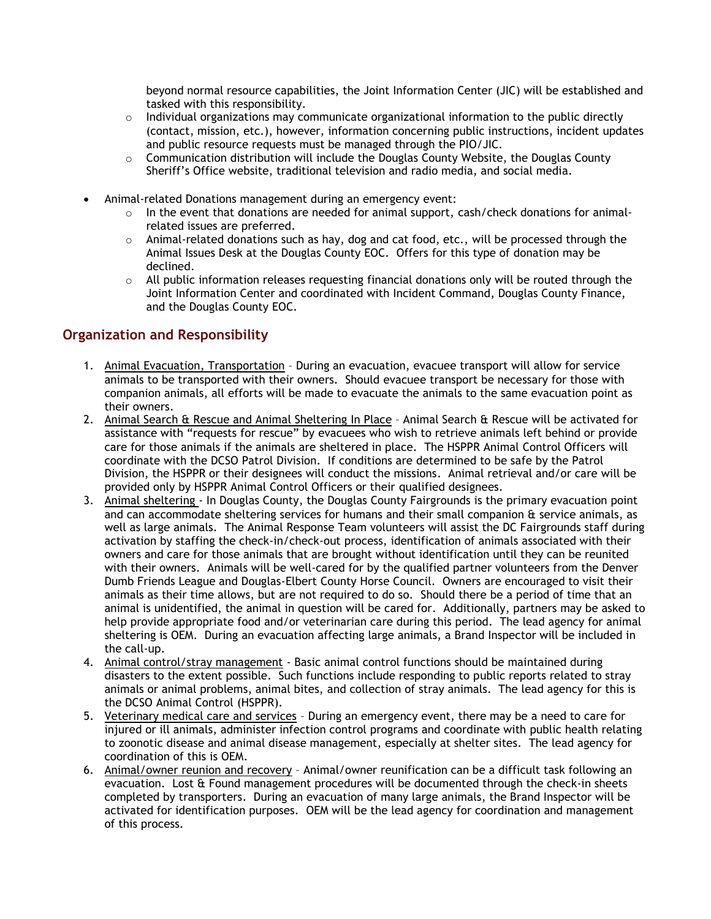beyond normal resource capabilities, the Joint Information Center (JIC) will be established and tasked with this responsibility.

- $\circ$  Individual organizations may communicate organizational information to the public directly (contact, mission, etc.), however, information concerning public instructions, incident updates and public resource requests must be managed through the PIO/JIC.
- $\circ$  Communication distribution will include the Douglas County Website, the Douglas County Sheriff's Office website, traditional television and radio media, and social media.
- Animal-related Donations management during an emergency event:
	- $\circ$  In the event that donations are needed for animal support, cash/check donations for animalrelated issues are preferred.
	- $\circ$  Animal-related donations such as hay, dog and cat food, etc., will be processed through the Animal Issues Desk at the Douglas County EOC. Offers for this type of donation may be declined.
	- $\circ$  All public information releases requesting financial donations only will be routed through the Joint Information Center and coordinated with Incident Command, Douglas County Finance, and the Douglas County EOC.

## **Organization and Responsibility**

- 1. Animal Evacuation, Transportation During an evacuation, evacuee transport will allow for service animals to be transported with their owners. Should evacuee transport be necessary for those with companion animals, all efforts will be made to evacuate the animals to the same evacuation point as their owners.
- 2. Animal Search & Rescue and Animal Sheltering In Place Animal Search & Rescue will be activated for assistance with "requests for rescue" by evacuees who wish to retrieve animals left behind or provide care for those animals if the animals are sheltered in place. The HSPPR Animal Control Officers will coordinate with the DCSO Patrol Division. If conditions are determined to be safe by the Patrol Division, the HSPPR or their designees will conduct the missions. Animal retrieval and/or care will be provided only by HSPPR Animal Control Officers or their qualified designees.
- 3. Animal sheltering In Douglas County, the Douglas County Fairgrounds is the primary evacuation point and can accommodate sheltering services for humans and their small companion & service animals, as well as large animals. The Animal Response Team volunteers will assist the DC Fairgrounds staff during activation by staffing the check-in/check-out process, identification of animals associated with their owners and care for those animals that are brought without identification until they can be reunited with their owners. Animals will be well-cared for by the qualified partner volunteers from the Denver Dumb Friends League and Douglas-Elbert County Horse Council. Owners are encouraged to visit their animals as their time allows, but are not required to do so. Should there be a period of time that an animal is unidentified, the animal in question will be cared for. Additionally, partners may be asked to help provide appropriate food and/or veterinarian care during this period. The lead agency for animal sheltering is OEM. During an evacuation affecting large animals, a Brand Inspector will be included in the call-up.
- 4. Animal control/stray management Basic animal control functions should be maintained during disasters to the extent possible. Such functions include responding to public reports related to stray animals or animal problems, animal bites, and collection of stray animals. The lead agency for this is the DCSO Animal Control (HSPPR).
- 5. Veterinary medical care and services During an emergency event, there may be a need to care for injured or ill animals, administer infection control programs and coordinate with public health relating to zoonotic disease and animal disease management, especially at shelter sites. The lead agency for coordination of this is OEM.
- 6. Animal/owner reunion and recovery Animal/owner reunification can be a difficult task following an evacuation. Lost & Found management procedures will be documented through the check-in sheets completed by transporters. During an evacuation of many large animals, the Brand Inspector will be activated for identification purposes. OEM will be the lead agency for coordination and management of this process.